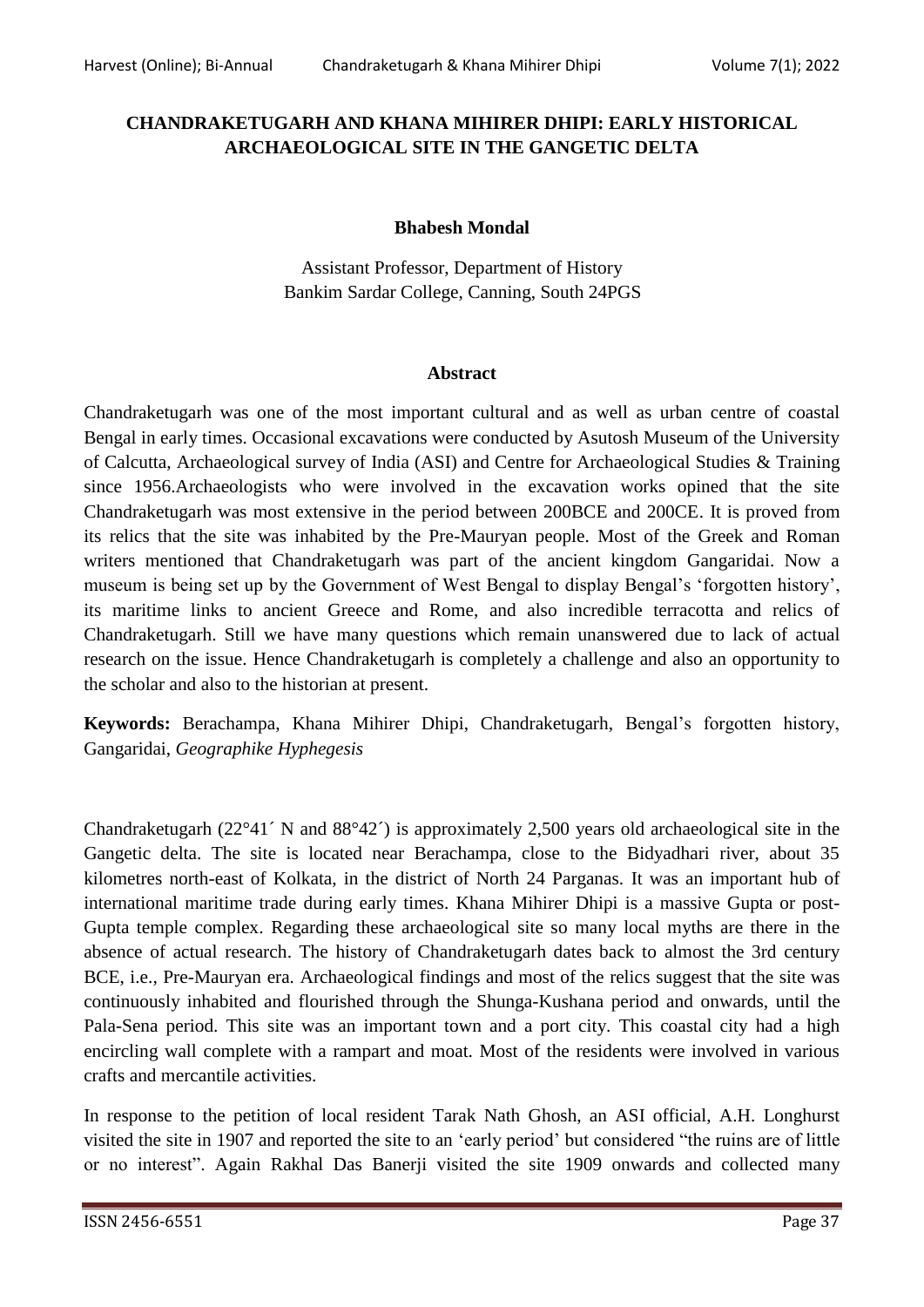## **CHANDRAKETUGARH AND KHANA MIHIRER DHIPI: EARLY HISTORICAL ARCHAEOLOGICAL SITE IN THE GANGETIC DELTA**

## **Bhabesh Mondal**

Assistant Professor, Department of History Bankim Sardar College, Canning, South 24PGS

## **Abstract**

Chandraketugarh was one of the most important cultural and as well as urban centre of coastal Bengal in early times. Occasional excavations were conducted by Asutosh Museum of the University of Calcutta, Archaeological survey of India (ASI) and Centre for Archaeological Studies & Training since 1956.Archaeologists who were involved in the excavation works opined that the site Chandraketugarh was most extensive in the period between 200BCE and 200CE. It is proved from its relics that the site was inhabited by the Pre-Mauryan people. Most of the Greek and Roman writers mentioned that Chandraketugarh was part of the ancient kingdom Gangaridai. Now a museum is being set up by the Government of West Bengal to display Bengal's 'forgotten history', its maritime links to ancient Greece and Rome, and also incredible terracotta and relics of Chandraketugarh. Still we have many questions which remain unanswered due to lack of actual research on the issue. Hence Chandraketugarh is completely a challenge and also an opportunity to the scholar and also to the historian at present.

**Keywords:** Berachampa, Khana Mihirer Dhipi, Chandraketugarh, Bengal"s forgotten history, Gangaridai, *Geographike Hyphegesis*

Chandraketugarh (22°41´ N and 88°42´) is approximately 2,500 years old archaeological site in the Gangetic delta. The site is located near Berachampa, close to the Bidyadhari river, about 35 kilometres north-east of Kolkata, in the district of North 24 Parganas. It was an important hub of international maritime trade during early times. Khana Mihirer Dhipi is a massive Gupta or post-Gupta temple complex. Regarding these archaeological site so many local myths are there in the absence of actual research. The history of Chandraketugarh dates back to almost the 3rd century BCE, i.e., Pre-Mauryan era. Archaeological findings and most of the relics suggest that the site was continuously inhabited and flourished through the Shunga-Kushana period and onwards, until the Pala-Sena period. This site was an important town and a port city. This coastal city had a high encircling wall complete with a rampart and moat. Most of the residents were involved in various crafts and mercantile activities.

In response to the petition of local resident Tarak Nath Ghosh, an ASI official, A.H. Longhurst visited the site in 1907 and reported the site to an "early period" but considered "the ruins are of little or no interest". Again Rakhal Das Banerji visited the site 1909 onwards and collected many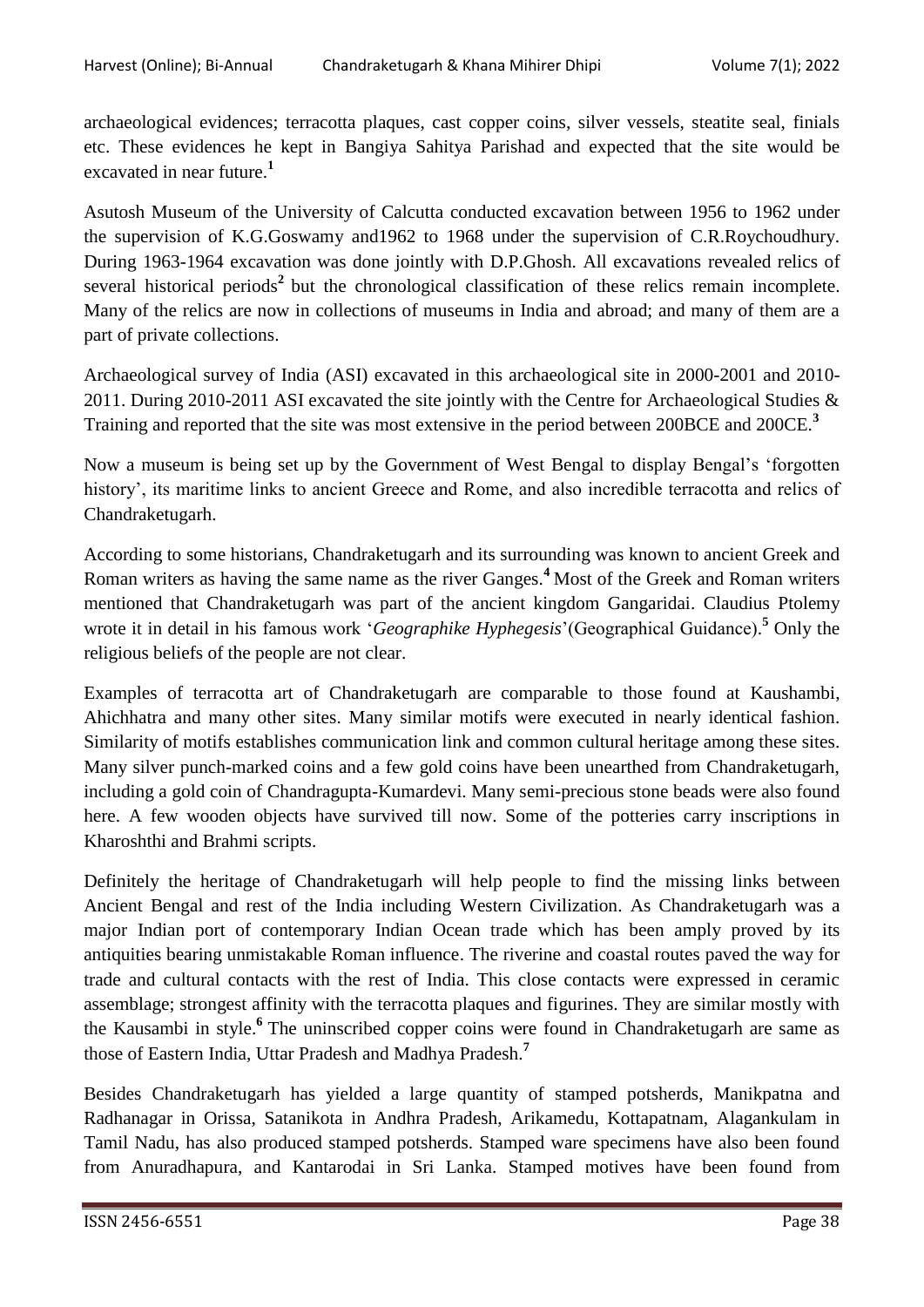archaeological evidences; terracotta plaques, cast copper coins, silver vessels, steatite seal, finials etc. These evidences he kept in Bangiya Sahitya Parishad and expected that the site would be excavated in near future.**<sup>1</sup>**

Asutosh Museum of the University of Calcutta conducted excavation between 1956 to 1962 under the supervision of K.G.Goswamy and1962 to 1968 under the supervision of C.R.Roychoudhury. During 1963-1964 excavation was done jointly with D.P.Ghosh. All excavations revealed relics of several historical periods<sup>2</sup> but the chronological classification of these relics remain incomplete. Many of the relics are now in collections of museums in India and abroad; and many of them are a part of private collections.

Archaeological survey of India (ASI) excavated in this archaeological site in 2000-2001 and 2010- 2011. During 2010-2011 ASI excavated the site jointly with the Centre for Archaeological Studies & Training and reported that the site was most extensive in the period between 200BCE and 200CE.**<sup>3</sup>**

Now a museum is being set up by the Government of West Bengal to display Bengal"s "forgotten history', its maritime links to ancient Greece and Rome, and also incredible terracotta and relics of Chandraketugarh.

According to some historians, Chandraketugarh and its surrounding was known to ancient Greek and Roman writers as having the same name as the river Ganges.**<sup>4</sup>**Most of the Greek and Roman writers mentioned that Chandraketugarh was part of the ancient kingdom Gangaridai. Claudius Ptolemy wrote it in detail in his famous work "*Geographike Hyphegesis*"(Geographical Guidance). **<sup>5</sup>** Only the religious beliefs of the people are not clear.

Examples of terracotta art of Chandraketugarh are comparable to those found at Kaushambi, Ahichhatra and many other sites. Many similar motifs were executed in nearly identical fashion. Similarity of motifs establishes communication link and common cultural heritage among these sites. Many silver punch-marked coins and a few gold coins have been unearthed from Chandraketugarh, including a gold coin of Chandragupta-Kumardevi. Many semi-precious stone beads were also found here. A few wooden objects have survived till now. Some of the potteries carry inscriptions in Kharoshthi and Brahmi scripts.

Definitely the heritage of Chandraketugarh will help people to find the missing links between Ancient Bengal and rest of the India including Western Civilization. As Chandraketugarh was a major Indian port of contemporary Indian Ocean trade which has been amply proved by its antiquities bearing unmistakable Roman influence. The riverine and coastal routes paved the way for trade and cultural contacts with the rest of India. This close contacts were expressed in ceramic assemblage; strongest affinity with the terracotta plaques and figurines. They are similar mostly with the Kausambi in style.**<sup>6</sup>** The uninscribed copper coins were found in Chandraketugarh are same as those of Eastern India, Uttar Pradesh and Madhya Pradesh.**<sup>7</sup>**

Besides Chandraketugarh has yielded a large quantity of stamped potsherds, Manikpatna and Radhanagar in Orissa, Satanikota in Andhra Pradesh, Arikamedu, Kottapatnam, Alagankulam in Tamil Nadu, has also produced stamped potsherds. Stamped ware specimens have also been found from Anuradhapura, and Kantarodai in Sri Lanka. Stamped motives have been found from